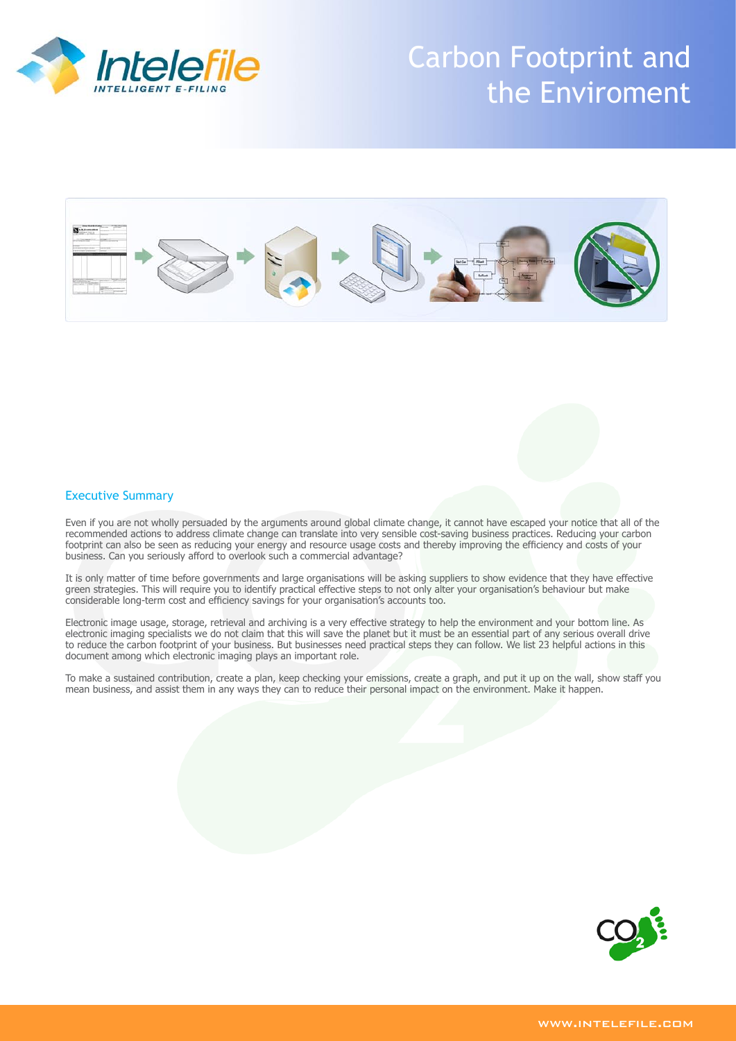

# Carbon Footprint and the Enviroment



# Executive Summary

Even if you are not wholly persuaded by the arguments around global climate change, it cannot have escaped your notice that all of the recommended actions to address climate change can translate into very sensible cost-saving business practices. Reducing your carbon footprint can also be seen as reducing your energy and resource usage costs and thereby improving the efficiency and costs of your business. Can you seriously afford to overlook such a commercial advantage?

It is only matter of time before governments and large organisations will be asking suppliers to show evidence that they have effective green strategies. This will require you to identify practical effective steps to not only alter your organisation's behaviour but make considerable long-term cost and efficiency savings for your organisation's accounts too.

Electronic image usage, storage, retrieval and archiving is a very effective strategy to help the environment and your bottom line. As electronic imaging specialists we do not claim that this will save the planet but it must be an essential part of any serious overall drive to reduce the carbon footprint of your business. But businesses need practical steps they can follow. We list 23 helpful actions in this document among which electronic imaging plays an important role.

To make a sustained contribution, create a plan, keep checking your emissions, create a graph, and put it up on the wall, show staff you mean business, and assist them in any ways they can to reduce their personal impact on the environment. Make it happen.

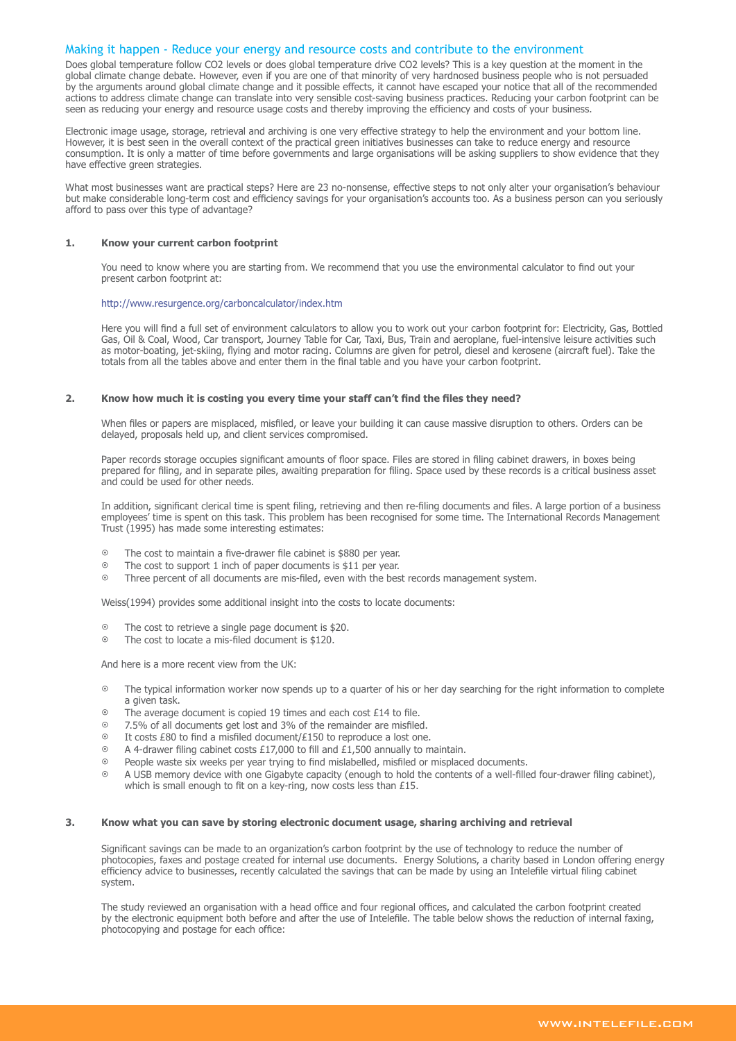# Making it happen - Reduce your energy and resource costs and contribute to the environment

Does global temperature follow CO2 levels or does global temperature drive CO2 levels? This is a key question at the moment in the global climate change debate. However, even if you are one of that minority of very hardnosed business people who is not persuaded by the arguments around global climate change and it possible effects, it cannot have escaped your notice that all of the recommended actions to address climate change can translate into very sensible cost-saving business practices. Reducing your carbon footprint can be seen as reducing your energy and resource usage costs and thereby improving the efficiency and costs of your business.

Electronic image usage, storage, retrieval and archiving is one very effective strategy to help the environment and your bottom line. However, it is best seen in the overall context of the practical green initiatives businesses can take to reduce energy and resource consumption. It is only a matter of time before governments and large organisations will be asking suppliers to show evidence that they have effective green strategies.

What most businesses want are practical steps? Here are 23 no-nonsense, effective steps to not only alter your organisation's behaviour but make considerable long-term cost and efficiency savings for your organisation's accounts too. As a business person can you seriously afford to pass over this type of advantage?

## **1. Know your current carbon footprint**

You need to know where you are starting from. We recommend that you use the environmental calculator to find out your present carbon footprint at:

# http://www.resurgence.org/carboncalculator/index.htm

Here you will find a full set of environment calculators to allow you to work out your carbon footprint for: Electricity, Gas, Bottled Gas, Oil & Coal, Wood, Car transport, Journey Table for Car, Taxi, Bus, Train and aeroplane, fuel-intensive leisure activities such as motor-boating, jet-skiing, flying and motor racing. Columns are given for petrol, diesel and kerosene (aircraft fuel). Take the totals from all the tables above and enter them in the final table and you have your carbon footprint.

# **2. Know how much it is costing you every time your staff can't find the files they need?**

When files or papers are misplaced, misfiled, or leave your building it can cause massive disruption to others. Orders can be delayed, proposals held up, and client services compromised.

Paper records storage occupies significant amounts of floor space. Files are stored in filing cabinet drawers, in boxes being prepared for filing, and in separate piles, awaiting preparation for filing. Space used by these records is a critical business asset and could be used for other needs.

In addition, significant clerical time is spent filing, retrieving and then re-filing documents and files. A large portion of a business employees' time is spent on this task. This problem has been recognised for some time. The International Records Management Trust (1995) has made some interesting estimates:

- $\circ$  The cost to maintain a five-drawer file cabinet is \$880 per year.
- $\degree$  The cost to support 1 inch of paper documents is \$11 per year.<br> $\degree$  Three percent of all documents are mis-filed, even with the best
- < Three percent of all documents are mis-filed, even with the best records management system.

Weiss(1994) provides some additional insight into the costs to locate documents:

- $\circ$  The cost to retrieve a single page document is \$20.
- $\degree$  The cost to locate a mis-filed document is \$120.

And here is a more recent view from the UK:

- $\circ$  The typical information worker now spends up to a quarter of his or her day searching for the right information to complete a given task.
- $\degree$  The average document is copied 19 times and each cost £14 to file.
- < 7.5% of all documents get lost and 3% of the remainder are misfiled.
- $\circ$  It costs £80 to find a misfiled document/£150 to reproduce a lost one.
- $\odot$  A 4-drawer filing cabinet costs £17,000 to fill and £1,500 annually to maintain.
- $\circ$  People waste six weeks per year trying to find mislabelled, misfiled or misplaced documents.
- $\circ$  A USB memory device with one Gigabyte capacity (enough to hold the contents of a well-filled four-drawer filing cabinet), which is small enough to fit on a key-ring, now costs less than £15.

# **3. Know what you can save by storing electronic document usage, sharing archiving and retrieval**

Significant savings can be made to an organization's carbon footprint by the use of technology to reduce the number of photocopies, faxes and postage created for internal use documents. Energy Solutions, a charity based in London offering energy efficiency advice to businesses, recently calculated the savings that can be made by using an Intelefile virtual filing cabinet system.

The study reviewed an organisation with a head office and four regional offices, and calculated the carbon footprint created by the electronic equipment both before and after the use of Intelefile. The table below shows the reduction of internal faxing, photocopying and postage for each office: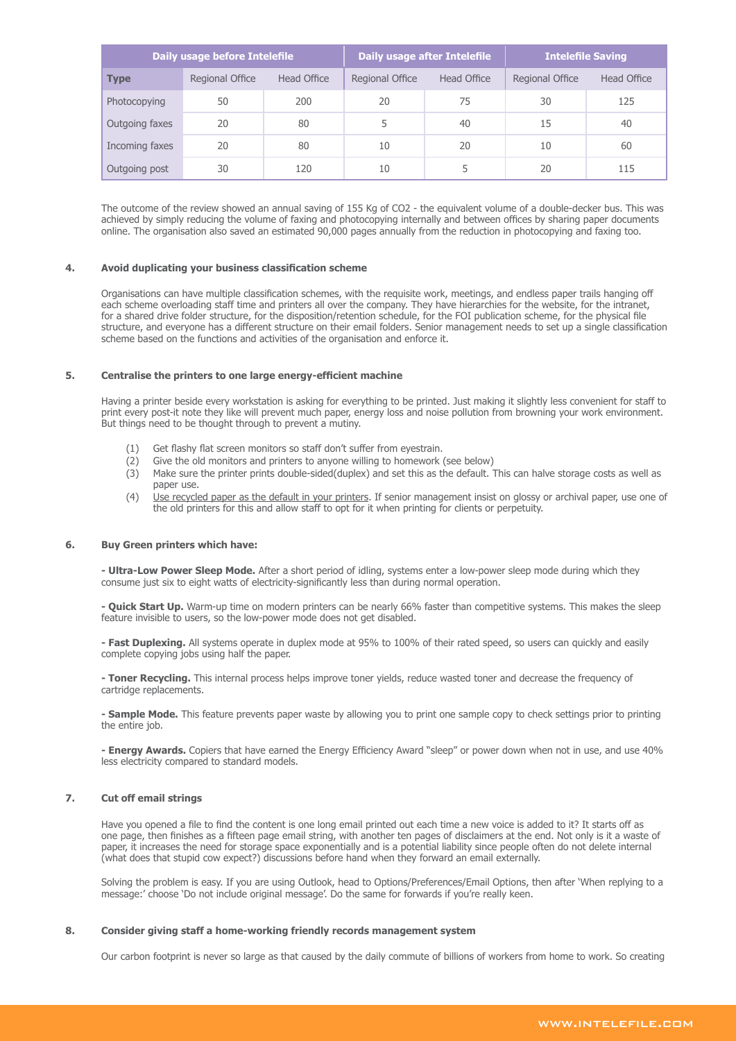| Daily usage before Intelefile |                 |             | Daily usage after Intelefile |             | <b>Intelefile Saving</b> |             |
|-------------------------------|-----------------|-------------|------------------------------|-------------|--------------------------|-------------|
| <b>Type</b>                   | Regional Office | Head Office | Regional Office              | Head Office | Regional Office          | Head Office |
| Photocopying                  | 50              | 200         | 20                           | 75          | 30                       | 125         |
| Outgoing faxes                | 20              | 80          |                              | 40          | 15                       | 40          |
| Incoming faxes                | 20              | 80          | 10                           | 20          | 10                       | 60          |
| Outgoing post                 | 30              | 120         | 10                           | 5           | 20                       | 115         |

The outcome of the review showed an annual saving of 155 Kg of CO2 - the equivalent volume of a double-decker bus. This was achieved by simply reducing the volume of faxing and photocopying internally and between offices by sharing paper documents online. The organisation also saved an estimated 90,000 pages annually from the reduction in photocopying and faxing too.

# **4. Avoid duplicating your business classification scheme**

Organisations can have multiple classification schemes, with the requisite work, meetings, and endless paper trails hanging off each scheme overloading staff time and printers all over the company. They have hierarchies for the website, for the intranet, for a shared drive folder structure, for the disposition/retention schedule, for the FOI publication scheme, for the physical file structure, and everyone has a different structure on their email folders. Senior management needs to set up a single classification scheme based on the functions and activities of the organisation and enforce it.

# **5. Centralise the printers to one large energy-efficient machine**

Having a printer beside every workstation is asking for everything to be printed. Just making it slightly less convenient for staff to print every post-it note they like will prevent much paper, energy loss and noise pollution from browning your work environment. But things need to be thought through to prevent a mutiny.

- (1) Get flashy flat screen monitors so staff don't suffer from eyestrain.
- (2) Give the old monitors and printers to anyone willing to homework (see below)
- (3) Make sure the printer prints double-sided(duplex) and set this as the default. This can halve storage costs as well as paper use.
- (4) Use recycled paper as the default in your printers. If senior management insist on glossy or archival paper, use one of the old printers for this and allow staff to opt for it when printing for clients or perpetuity.

## **6. Buy Green printers which have:**

**- Ultra-Low Power Sleep Mode.** After a short period of idling, systems enter a low-power sleep mode during which they consume just six to eight watts of electricity-significantly less than during normal operation.

**- Quick Start Up.** Warm-up time on modern printers can be nearly 66% faster than competitive systems. This makes the sleep feature invisible to users, so the low-power mode does not get disabled.

**- Fast Duplexing.** All systems operate in duplex mode at 95% to 100% of their rated speed, so users can quickly and easily complete copying jobs using half the paper.

**- Toner Recycling.** This internal process helps improve toner yields, reduce wasted toner and decrease the frequency of cartridge replacements.

**- Sample Mode.** This feature prevents paper waste by allowing you to print one sample copy to check settings prior to printing the entire job.

**- Energy Awards.** Copiers that have earned the Energy Efficiency Award "sleep" or power down when not in use, and use 40% less electricity compared to standard models.

# **7. Cut off email strings**

Have you opened a file to find the content is one long email printed out each time a new voice is added to it? It starts off as one page, then finishes as a fifteen page email string, with another ten pages of disclaimers at the end. Not only is it a waste of paper, it increases the need for storage space exponentially and is a potential liability since people often do not delete internal (what does that stupid cow expect?) discussions before hand when they forward an email externally.

Solving the problem is easy. If you are using Outlook, head to Options/Preferences/Email Options, then after 'When replying to a message:' choose 'Do not include original message'. Do the same for forwards if you're really keen.

# **8. Consider giving staff a home-working friendly records management system**

Our carbon footprint is never so large as that caused by the daily commute of billions of workers from home to work. So creating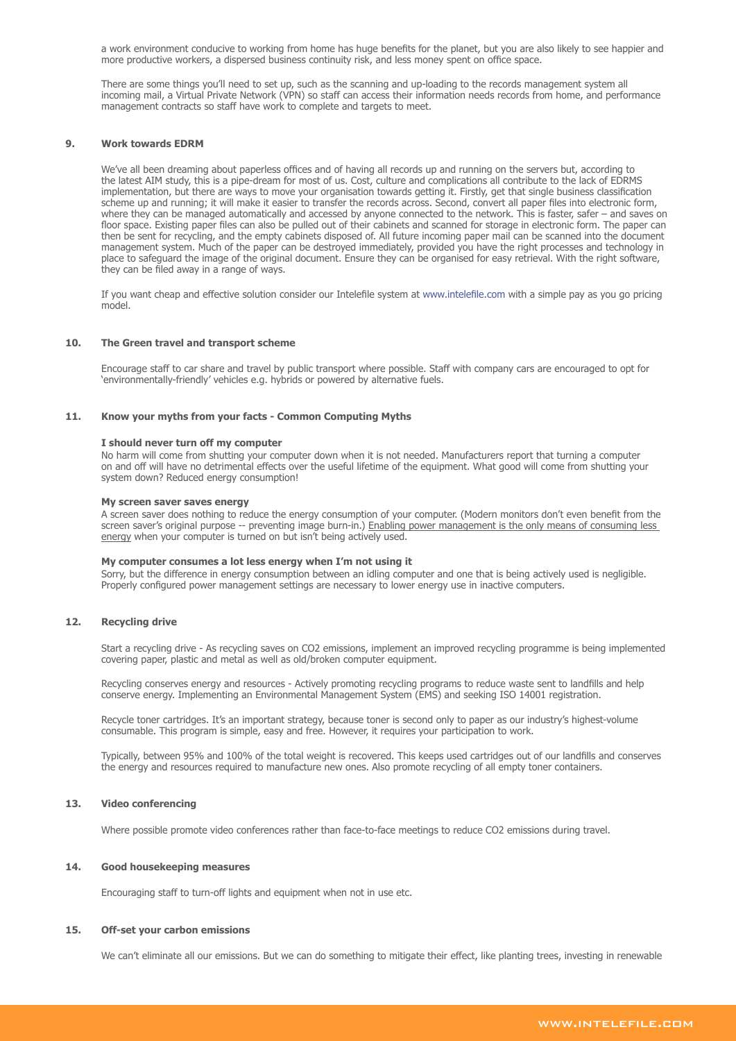a work environment conducive to working from home has huge benefits for the planet, but you are also likely to see happier and more productive workers, a dispersed business continuity risk, and less money spent on office space.

There are some things you'll need to set up, such as the scanning and up-loading to the records management system all incoming mail, a Virtual Private Network (VPN) so staff can access their information needs records from home, and performance management contracts so staff have work to complete and targets to meet.

# **9. Work towards EDRM**

We've all been dreaming about paperless offices and of having all records up and running on the servers but, according to the latest AIM study, this is a pipe-dream for most of us. Cost, culture and complications all contribute to the lack of EDRMS implementation, but there are ways to move your organisation towards getting it. Firstly, get that single business classification scheme up and running; it will make it easier to transfer the records across. Second, convert all paper files into electronic form, where they can be managed automatically and accessed by anyone connected to the network. This is faster, safer – and saves on floor space. Existing paper files can also be pulled out of their cabinets and scanned for storage in electronic form. The paper can then be sent for recycling, and the empty cabinets disposed of. All future incoming paper mail can be scanned into the document management system. Much of the paper can be destroyed immediately, provided you have the right processes and technology in place to safeguard the image of the original document. Ensure they can be organised for easy retrieval. With the right software, they can be filed away in a range of ways.

If you want cheap and effective solution consider our Intelefile system at www.intelefile.com with a simple pay as you go pricing model.

## **10. The Green travel and transport scheme**

Encourage staff to car share and travel by public transport where possible. Staff with company cars are encouraged to opt for 'environmentally-friendly' vehicles e.g. hybrids or powered by alternative fuels.

# **11. Know your myths from your facts - Common Computing Myths**

#### **I should never turn off my computer**

No harm will come from shutting your computer down when it is not needed. Manufacturers report that turning a computer on and off will have no detrimental effects over the useful lifetime of the equipment. What good will come from shutting your system down? Reduced energy consumption!

#### **My screen saver saves energy**

A screen saver does nothing to reduce the energy consumption of your computer. (Modern monitors don't even benefit from the screen saver's original purpose -- preventing image burn-in.) Enabling power management is the only means of consuming less energy when your computer is turned on but isn't being actively used.

## **My computer consumes a lot less energy when I'm not using it**

Sorry, but the difference in energy consumption between an idling computer and one that is being actively used is negligible. Properly configured power management settings are necessary to lower energy use in inactive computers.

# **12. Recycling drive**

Start a recycling drive - As recycling saves on CO2 emissions, implement an improved recycling programme is being implemented covering paper, plastic and metal as well as old/broken computer equipment.

Recycling conserves energy and resources - Actively promoting recycling programs to reduce waste sent to landfills and help conserve energy. Implementing an Environmental Management System (EMS) and seeking ISO 14001 registration.

Recycle toner cartridges. It's an important strategy, because toner is second only to paper as our industry's highest-volume consumable. This program is simple, easy and free. However, it requires your participation to work.

Typically, between 95% and 100% of the total weight is recovered. This keeps used cartridges out of our landfills and conserves the energy and resources required to manufacture new ones. Also promote recycling of all empty toner containers.

# **13. Video conferencing**

Where possible promote video conferences rather than face-to-face meetings to reduce CO2 emissions during travel.

## **14. Good housekeeping measures**

Encouraging staff to turn-off lights and equipment when not in use etc.

#### **15. Off-set your carbon emissions**

We can't eliminate all our emissions. But we can do something to mitigate their effect, like planting trees, investing in renewable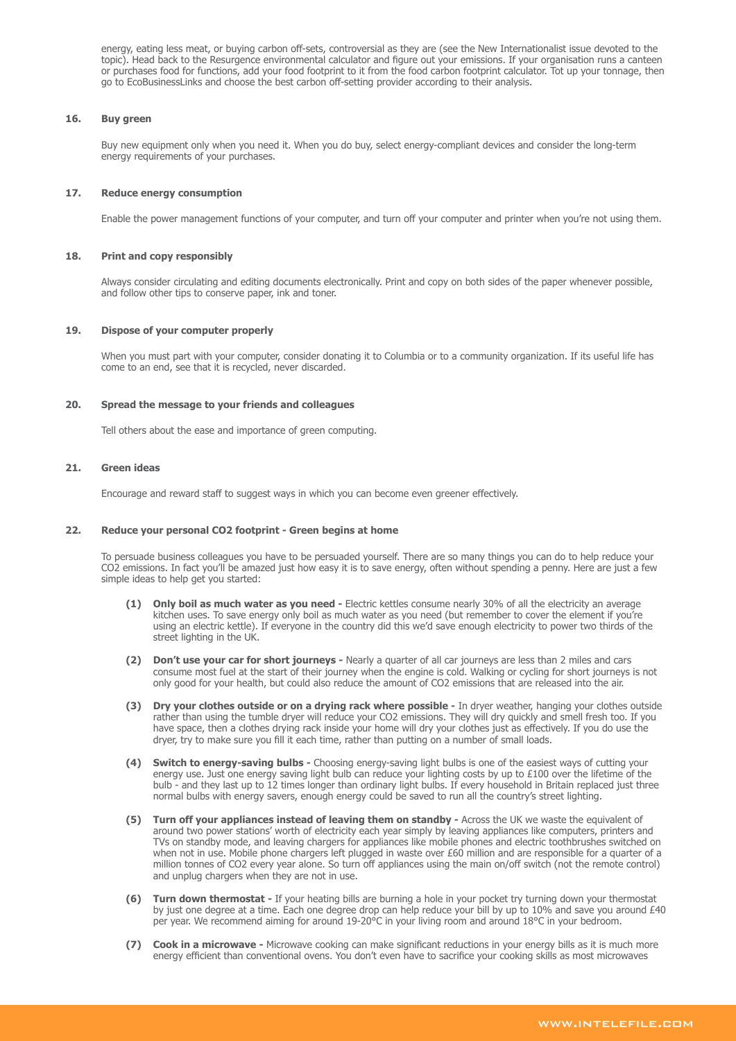energy, eating less meat, or buying carbon off-sets, controversial as they are (see the New Internationalist issue devoted to the topic). Head back to the Resurgence environmental calculator and figure out your emissions. If your organisation runs a canteen or purchases food for functions, add your food footprint to it from the food carbon footprint calculator. Tot up your tonnage, then go to EcoBusinessLinks and choose the best carbon off-setting provider according to their analysis.

## **16. Buy green**

Buy new equipment only when you need it. When you do buy, select energy-compliant devices and consider the long-term energy requirements of your purchases.

## **17. Reduce energy consumption**

Enable the power management functions of your computer, and turn off your computer and printer when you're not using them.

## **18. Print and copy responsibly**

Always consider circulating and editing documents electronically. Print and copy on both sides of the paper whenever possible, and follow other tips to conserve paper, ink and toner.

## **19. Dispose of your computer properly**

When you must part with your computer, consider donating it to Columbia or to a community organization. If its useful life has come to an end, see that it is recycled, never discarded.

## **20. Spread the message to your friends and colleagues**

Tell others about the ease and importance of green computing.

## **21. Green ideas**

Encourage and reward staff to suggest ways in which you can become even greener effectively.

## **22. Reduce your personal CO2 footprint - Green begins at home**

To persuade business colleagues you have to be persuaded yourself. There are so many things you can do to help reduce your CO2 emissions. In fact you'll be amazed just how easy it is to save energy, often without spending a penny. Here are just a few simple ideas to help get you started:

- **(1) Only boil as much water as you need -** Electric kettles consume nearly 30% of all the electricity an average kitchen uses. To save energy only boil as much water as you need (but remember to cover the element if you're using an electric kettle). If everyone in the country did this we'd save enough electricity to power two thirds of the street lighting in the UK.
- **(2) Don't use your car for short journeys -** Nearly a quarter of all car journeys are less than 2 miles and cars consume most fuel at the start of their journey when the engine is cold. Walking or cycling for short journeys is not only good for your health, but could also reduce the amount of CO2 emissions that are released into the air.
- **(3) Dry your clothes outside or on a drying rack where possible -** In dryer weather, hanging your clothes outside rather than using the tumble dryer will reduce your CO2 emissions. They will dry quickly and smell fresh too. If you have space, then a clothes drying rack inside your home will dry your clothes just as effectively. If you do use the dryer, try to make sure you fill it each time, rather than putting on a number of small loads.
- **(4) Switch to energy-saving bulbs -** Choosing energy-saving light bulbs is one of the easiest ways of cutting your energy use. Just one energy saving light bulb can reduce your lighting costs by up to £100 over the lifetime of the bulb - and they last up to 12 times longer than ordinary light bulbs. If every household in Britain replaced just three normal bulbs with energy savers, enough energy could be saved to run all the country's street lighting.
- **(5) Turn off your appliances instead of leaving them on standby -** Across the UK we waste the equivalent of around two power stations' worth of electricity each year simply by leaving appliances like computers, printers and TVs on standby mode, and leaving chargers for appliances like mobile phones and electric toothbrushes switched on when not in use. Mobile phone chargers left plugged in waste over £60 million and are responsible for a quarter of a million tonnes of CO2 every year alone. So turn off appliances using the main on/off switch (not the remote control) and unplug chargers when they are not in use.
- **(6) Turn down thermostat -** If your heating bills are burning a hole in your pocket try turning down your thermostat by just one degree at a time. Each one degree drop can help reduce your bill by up to 10% and save you around £40 per year. We recommend aiming for around 19-20°C in your living room and around 18°C in your bedroom.
- **(7) Cook in a microwave -** Microwave cooking can make significant reductions in your energy bills as it is much more energy efficient than conventional ovens. You don't even have to sacrifice your cooking skills as most microwaves